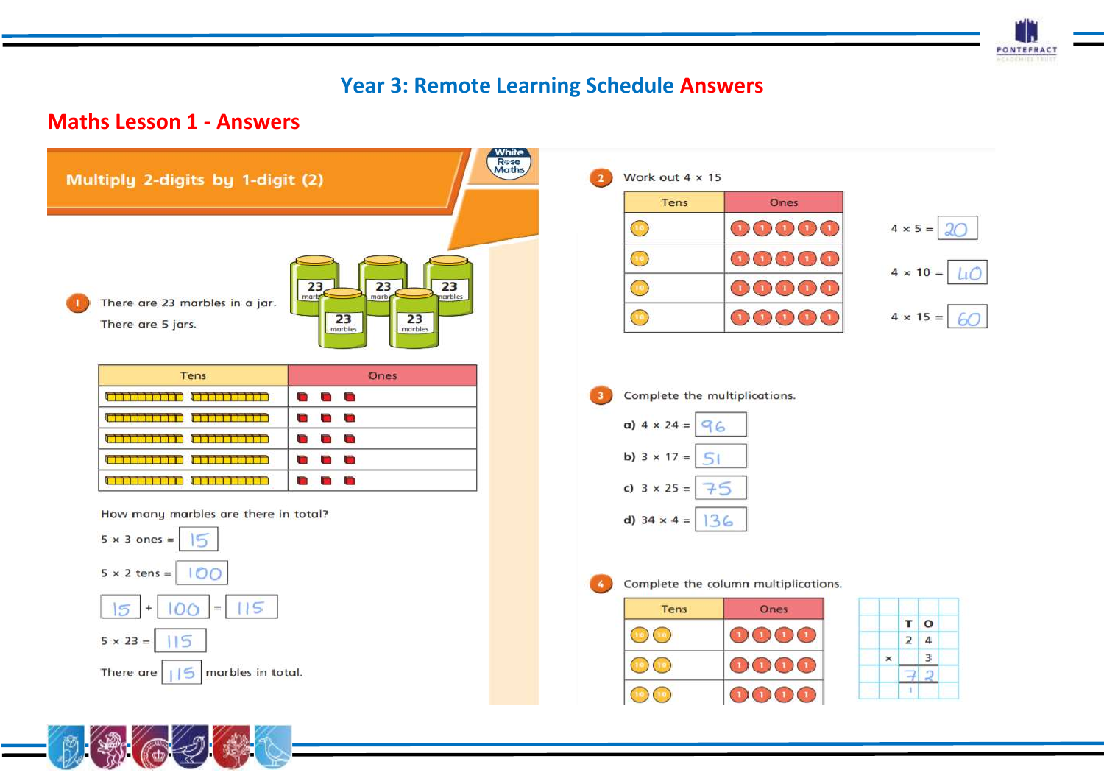

# **Year 3: Remote Learning Schedule Answers**

### **Maths Lesson 1 - Answers**



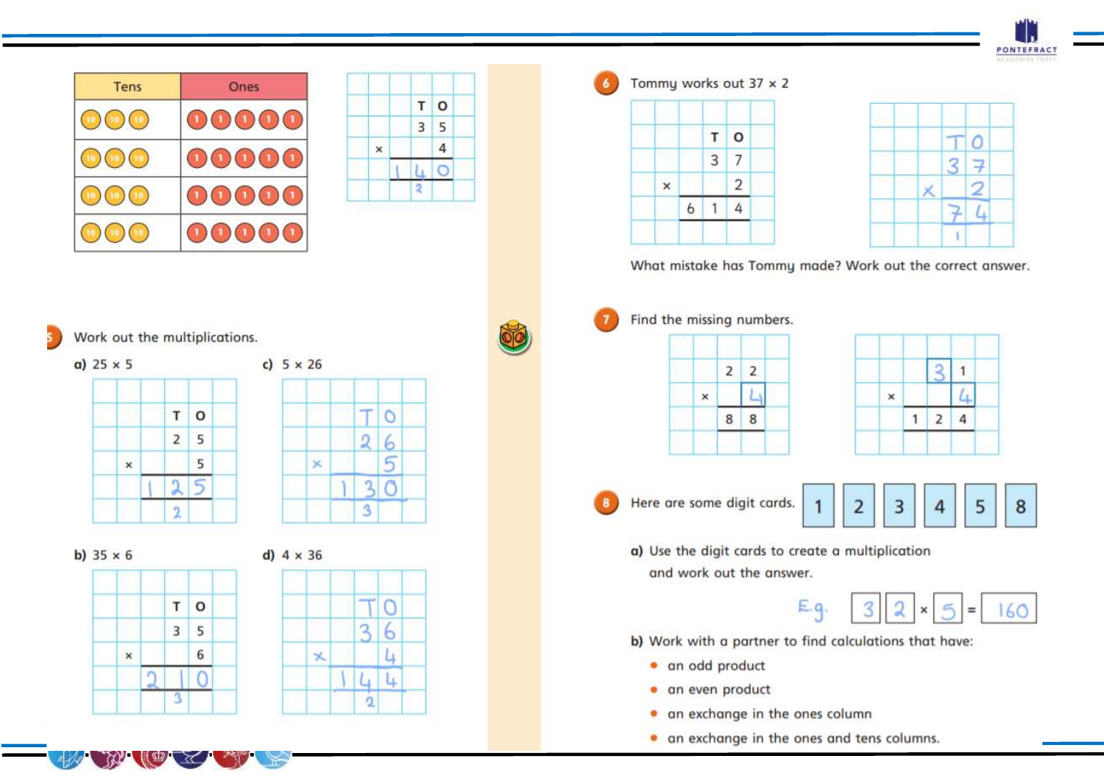

| <b>Tens</b> | Ones |
|-------------|------|
|             |      |
|             |      |
|             |      |
|             |      |

|   | П |
|---|---|
|   | 5 |
|   |   |
|   |   |
| ٠ |   |

Work out the multiplications.

 $a)$  25  $\times$  5

5

c)  $5 \times 26$ 





b)  $35 \times 6$ 



Tommy works out  $37 \times 2$ 





What mistake has Tommy made? Work out the correct answer.

Find the missing numbers.

Here are some digit cards.



a) Use the digit cards to create a multiplication and work out the answer.



- b) Work with a partner to find calculations that have:
	- · an odd product
	- · an even product
	- an exchange in the ones column
	- . an exchange in the ones and tens columns.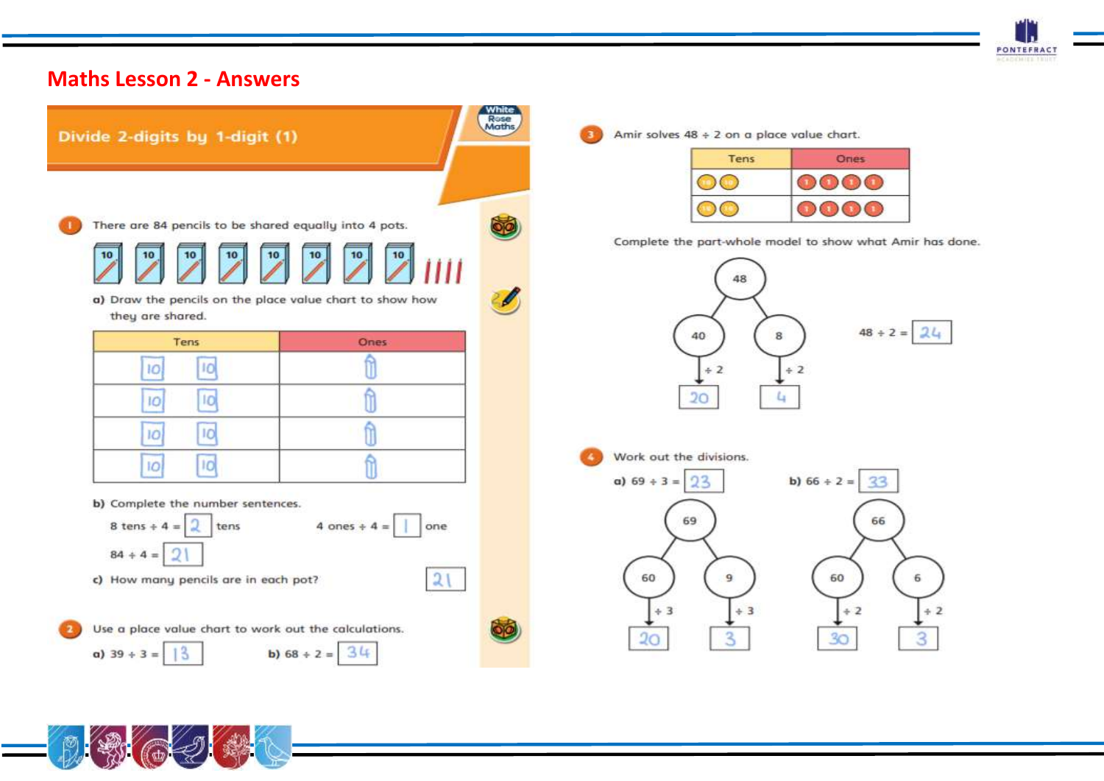

# **Maths Lesson 2 - Answers**

| Divide 2-digits by 1-digit (1)                                                                                                                           |                                         | White<br>Rose<br>Maths |
|----------------------------------------------------------------------------------------------------------------------------------------------------------|-----------------------------------------|------------------------|
| There are 84 pencils to be shared equally into 4 pots.<br>10<br>10<br>10<br>a) Draw the pencils on the place value chart to show how<br>they are shared. |                                         |                        |
| Tens<br>IO<br>10<br>IO<br>10<br>10<br>IÒ.                                                                                                                | <b>Ones</b><br>û                        |                        |
| <b>IO</b><br> O <br>b) Complete the number sentences.<br>8 tens $+4=$<br>tens<br>$84 + 4 =$<br>c) How many pencils are in each pot?                      | 4 ones $+4=$<br>one<br>$\mathfrak{D}^+$ |                        |
| Use a place value chart to work out the calculations.<br>$a)$ 39 + 3 =                                                                                   | b) $68 + 2 = 34$                        |                        |

Amir solves  $48 \div 2$  on a place value chart.

| Tens | Ories |
|------|-------|
|      |       |
|      |       |

Complete the part-whole model to show what Amir has done.



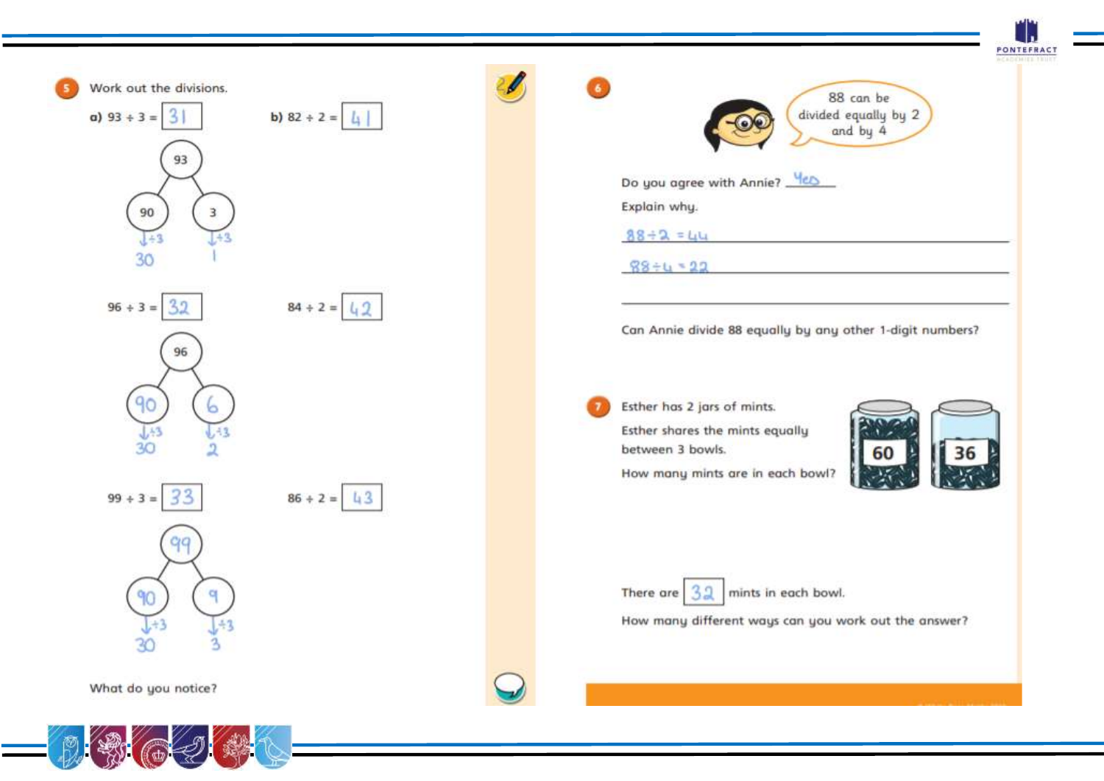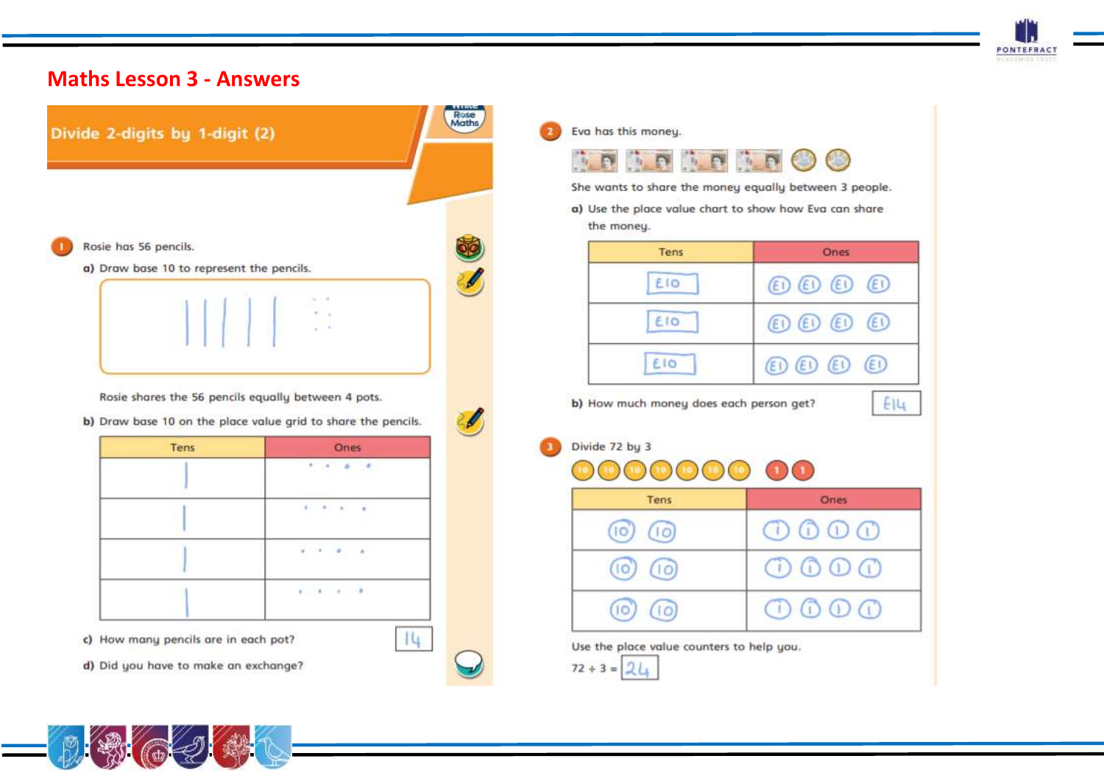



Divide 2-digits by 1-digit (2)

Rosie has 56 pencils.

a) Draw base 10 to represent the pencils.



Rosie shares the 56 pencils equally between 4 pots.

b) Draw base 10 on the place value grid to share the pencils.

| Tens | Ones                                                        |
|------|-------------------------------------------------------------|
|      | $\sigma_{\rm{eff}} = \sigma_{\rm{eff}} = \sigma_{\rm{eff}}$ |
|      | $\mathcal{F}=\mathcal{F}=\mathcal{F}=\mathcal{F}$           |
|      | $\mathbf{r}=\mathbf{r}-\mathbf{a}$ . $\mathbf{a}$           |
|      | <b>E. R. P. P.</b>                                          |

c) How many pencils are in each pot?

d) Did you have to make an exchange?



 $|4|$ 

Rose<br>Maths

Eva has this money.



She wants to share the money equally between 3 people.

a) Use the place value chart to show how Eva can share the money.

| Tens        | <b>Ones</b>                                  |
|-------------|----------------------------------------------|
| £IO         | $\circledR$ $\circledR$ $\circledR$          |
| <b>E</b> IO | $\circledcirc$ $\circledcirc$ $\circledcirc$ |
| <b>EIO</b>  | $\circledR$ $\circledR$ $\circledR$          |

| Divide 72 by 3 |  |
|----------------|--|
| mmmmmmmmm      |  |

| Tens          | Ones                                     |
|---------------|------------------------------------------|
| (10)          | $\circledcirc \circledcirc \circledcirc$ |
| $(10)$ $(10)$ | $\circledcirc \circledcirc \circledcirc$ |
| (10)          | $\circledcirc \circledcirc \circledcirc$ |

Use the place value counters to help you.



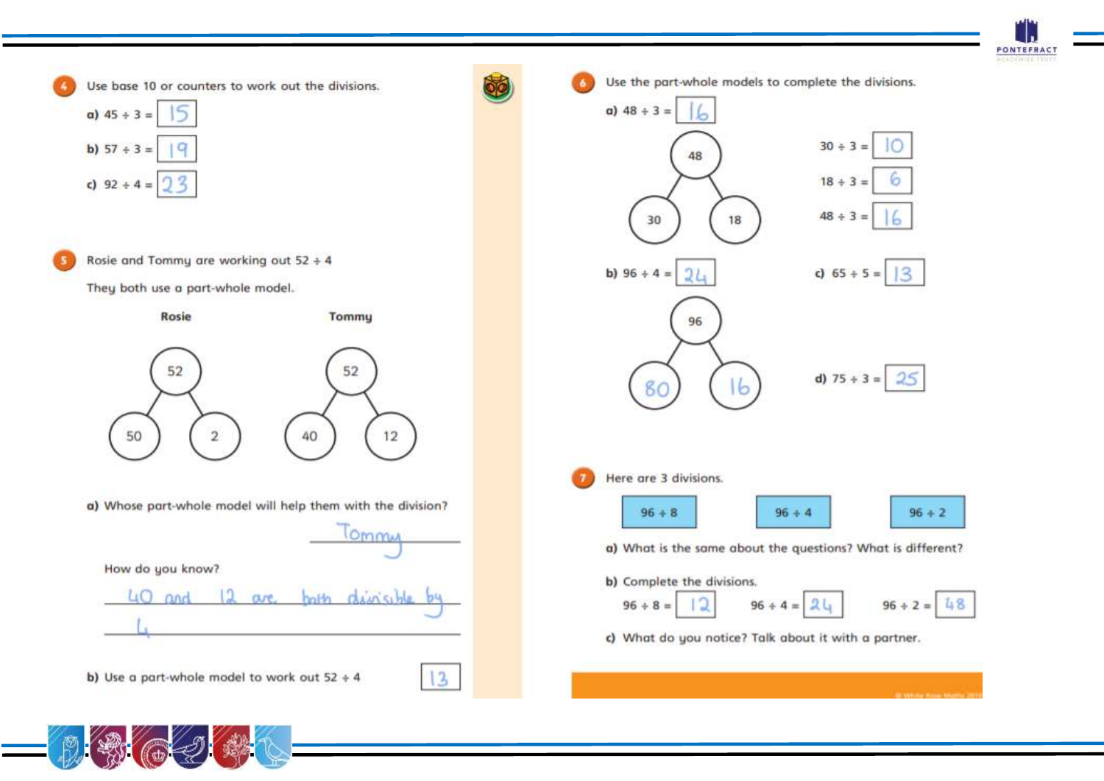



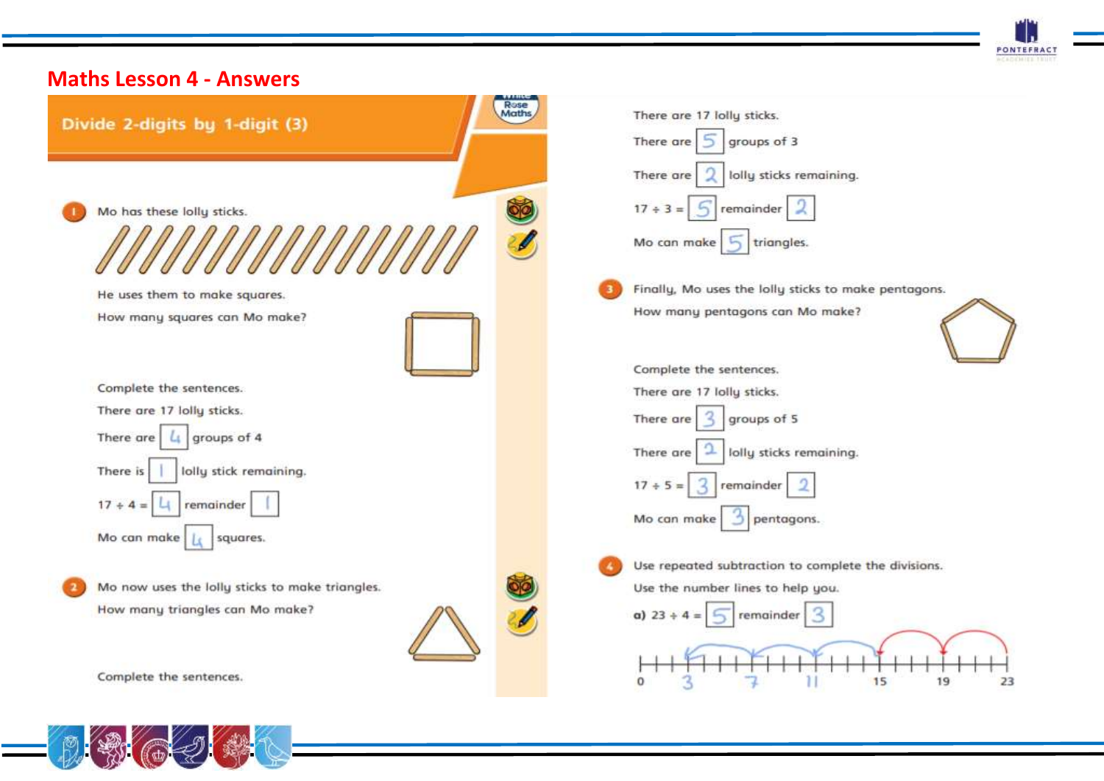

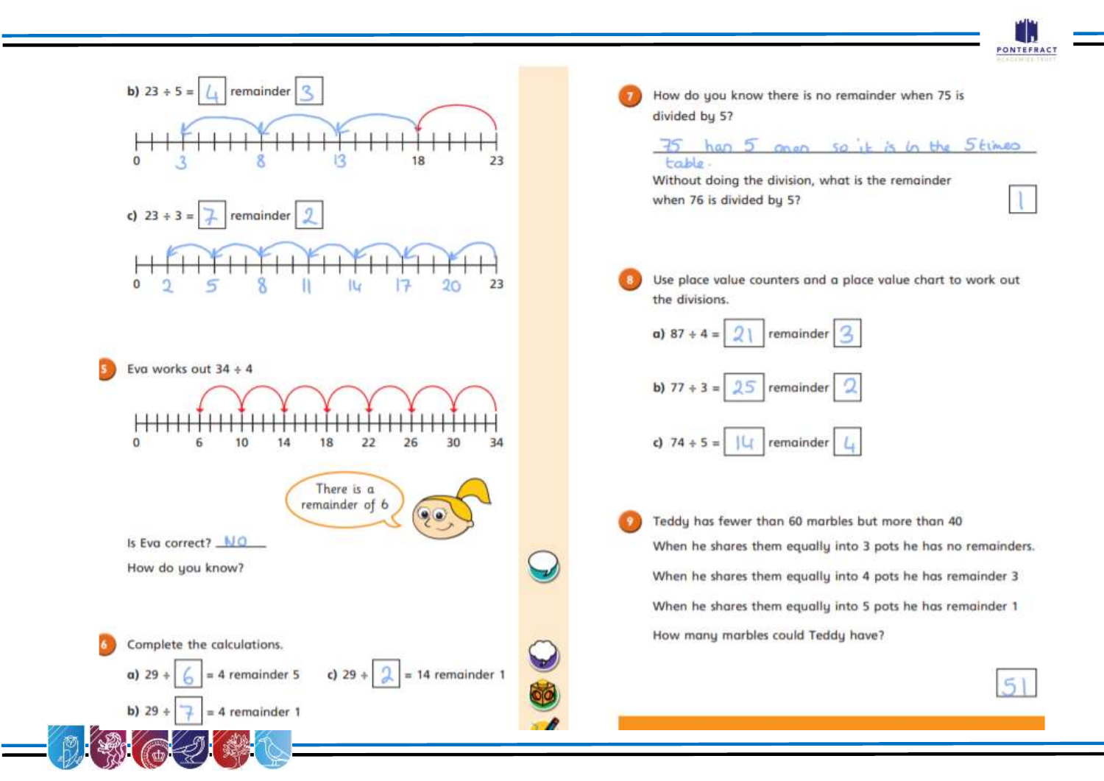

 $51$ 



| Without doing the division, what is the remainder<br>when 76 is divided by 5?<br>Use place value counters and a place value chart to work out<br>the divisions. |  |  |  |
|-----------------------------------------------------------------------------------------------------------------------------------------------------------------|--|--|--|
|                                                                                                                                                                 |  |  |  |
|                                                                                                                                                                 |  |  |  |
|                                                                                                                                                                 |  |  |  |
|                                                                                                                                                                 |  |  |  |
|                                                                                                                                                                 |  |  |  |
|                                                                                                                                                                 |  |  |  |
| a) 87 + 4 = $\sqrt{2}$ remainder $\sqrt{3}$                                                                                                                     |  |  |  |
|                                                                                                                                                                 |  |  |  |
| b) $77 + 3 = 25$ remainder 2                                                                                                                                    |  |  |  |
|                                                                                                                                                                 |  |  |  |
| c) $74 \div 5 = \frac{11}{4}$ remainder $L_+$                                                                                                                   |  |  |  |
|                                                                                                                                                                 |  |  |  |
|                                                                                                                                                                 |  |  |  |
| Teddy has fewer than 60 marbles but more than 40                                                                                                                |  |  |  |
| When he shares them equally into 3 pots he has no remainders                                                                                                    |  |  |  |

When he shares them equally into 5 pots he has remainder 1 How many marbles could Teddy have?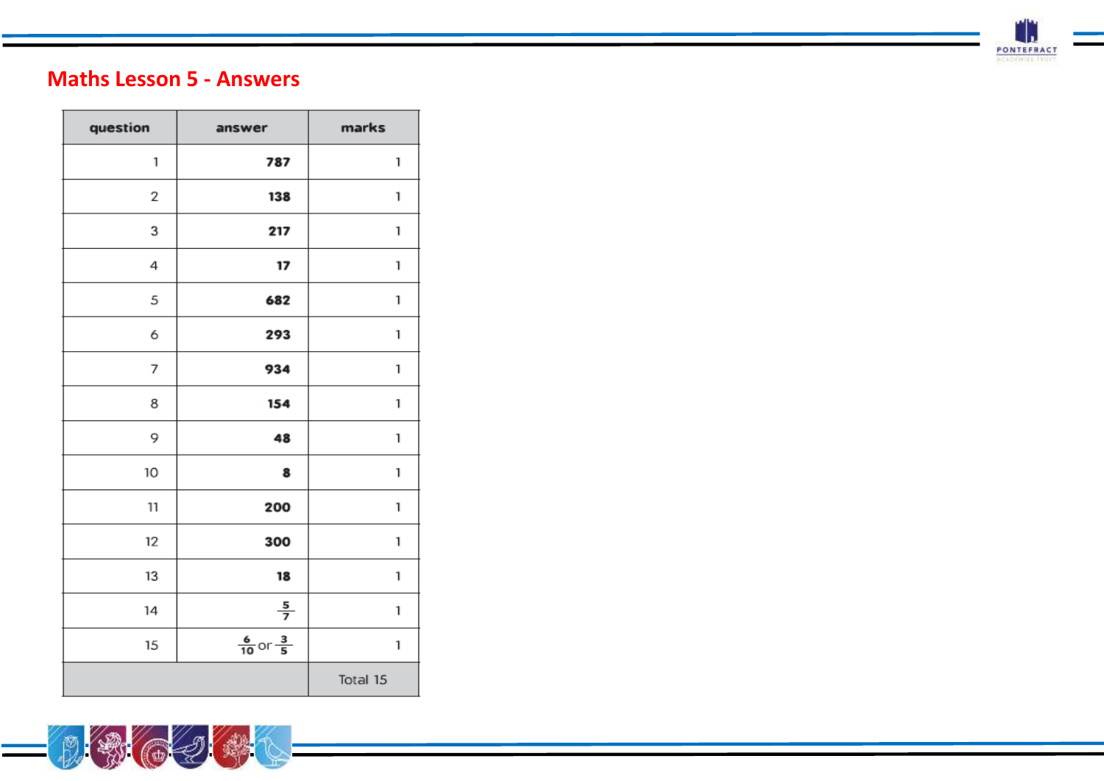

# **Maths Lesson 5 - Answers**

| question | answer                          | marks    |
|----------|---------------------------------|----------|
| 1        | 787                             | 1        |
| 2        | 138                             | 1        |
| 3        | 217                             | 1        |
| 4        | 17                              | 1        |
| 5        | 682                             | 1        |
| 6        | 293                             | 1        |
| 7        | 934                             | 1        |
| 8        | 154                             | 1        |
| 9        | 48                              | 1        |
| 10       | 8                               | 1        |
| 11       | 200                             | 1        |
| 12       | 300                             | 1        |
| 13       | 18                              | 1        |
| 14       | $\frac{5}{7}$                   | 1        |
| 15       | $\frac{6}{10}$ or $\frac{3}{5}$ | 1        |
|          |                                 | Total 15 |

(2) (4)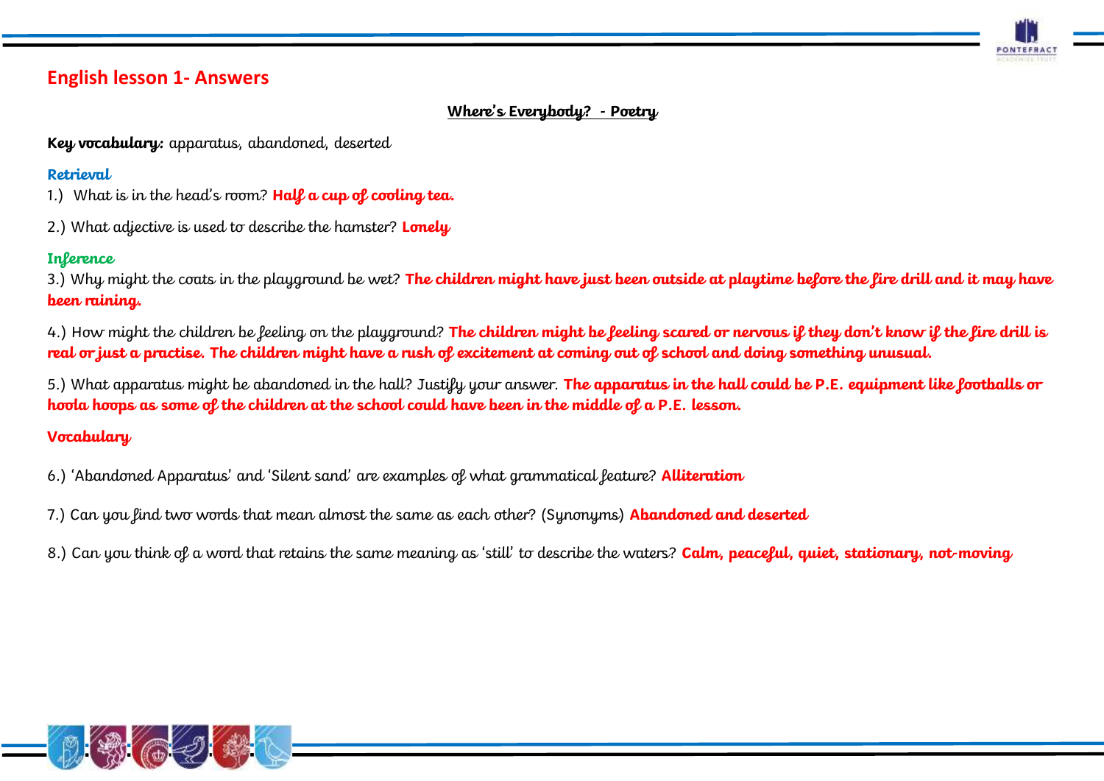

### **English lesson 1- Answers**

### **Where's Everybody? - Poetry**

**Key vocabulary:** apparatus, abandoned, deserted

### **Retrieval**

1.) What is in the head's room? **Half a cup of cooling tea.** 

2.) What adjective is used to describe the hamster? **Lonely**

### **Inference**

3.) Why might the coats in the playground be wet? **The children might have just been outside at playtime before the fire drill and it may have been raining.** 

4.) How might the children be feeling on the playground? **The children might be feeling scared or nervous if they don't know if the fire drill is real or just a practise. The children might have a rush of excitement at coming out of school and doing something unusual.** 

5.) What apparatus might be abandoned in the hall? Justify your answer. **The apparatus in the hall could be P.E. equipment like footballs or hoola hoops as some of the children at the school could have been in the middle of a P.E. lesson.** 

### **Vocabulary**

- 6.) 'Abandoned Apparatus' and 'Silent sand' are examples of what grammatical feature? **Alliteration**
- 7.) Can you find two words that mean almost the same as each other? (Synonyms) **Abandoned and deserted**
- 8.) Can you think of a word that retains the same meaning as 'still' to describe the waters? **Calm, peaceful, quiet, stationary, not-moving**

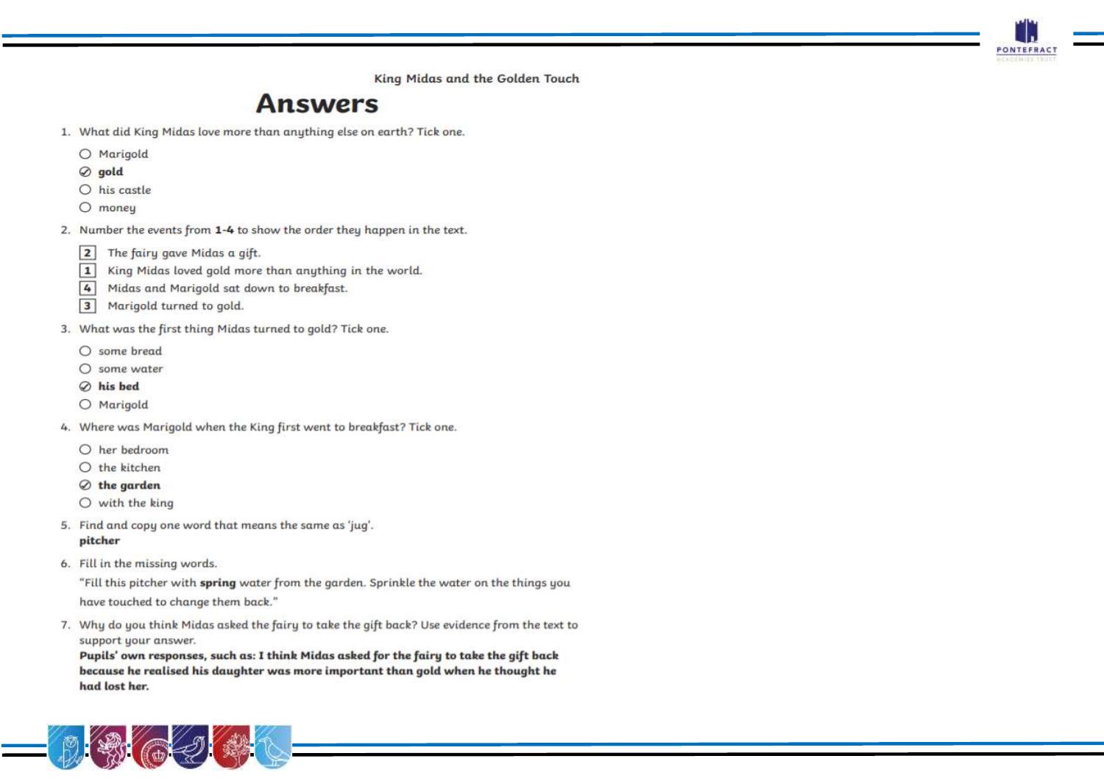King Midas and the Golden Touch

**PONTEFRAC** 

# **Answers**

1. What did King Midas love more than anything else on earth? Tick one.

O Marigold

- $\oslash$  gold
- $O$  his castle
- $O$  money
- 2. Number the events from 1-4 to show the order they happen in the text.
	- The fairy gave Midas a gift.  $\overline{2}$
	- $\boxed{1}$ King Midas loved gold more than anything in the world.
	- $\overline{4}$ Midas and Marigold sat down to breakfast.
	- $\overline{\mathbf{3}}$ Marigold turned to gold.
- 3. What was the first thing Midas turned to gold? Tick one.
	- $O$  some bread
	- $\bigcap$  some water
	- $\oslash$  his bed
	- O Marigold
- 4. Where was Marigold when the King first went to breakfast? Tick one.
	- O her bedroom
	- $O$  the kitchen
	- $\oslash$  the garden
	- $O$  with the king
- 5. Find and copy one word that means the same as 'jug'. pitcher
- 6. Fill in the missing words.

"Fill this pitcher with spring water from the garden. Sprinkle the water on the things you have touched to change them back."

7. Why do you think Midas asked the fairy to take the gift back? Use evidence from the text to support your answer.

Pupils' own responses, such as: I think Midas asked for the fairy to take the gift back because he realised his daughter was more important than gold when he thought he had lost her.

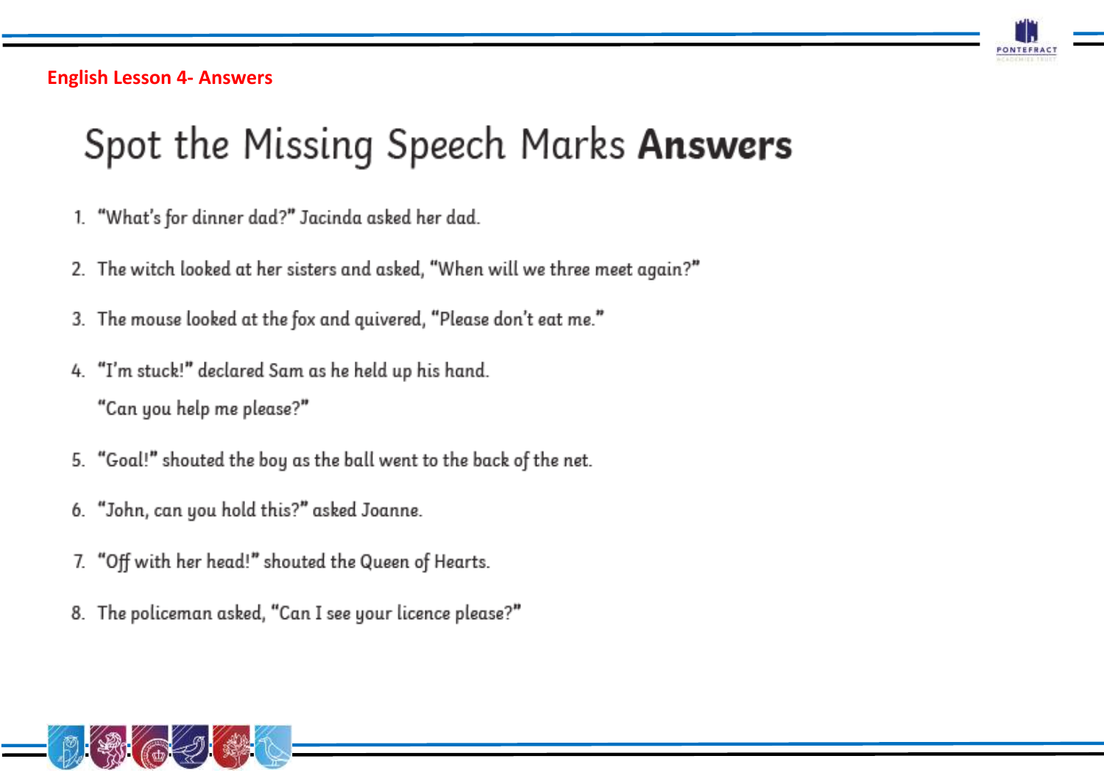

**English Lesson 4- Answers** 

# Spot the Missing Speech Marks Answers

- 1. "What's for dinner dad?" Jacinda asked her dad.
- 2. The witch looked at her sisters and asked, "When will we three meet again?"
- 3. The mouse looked at the fox and quivered, "Please don't eat me."
- 4. "I'm stuck!" declared Sam as he held up his hand. "Can you help me please?"
- 5. "Goal!" shouted the boy as the ball went to the back of the net.
- 6. "John, can you hold this?" asked Joanne.
- 7. "Off with her head!" shouted the Queen of Hearts.
- 8. The policeman asked, "Can I see your licence please?"

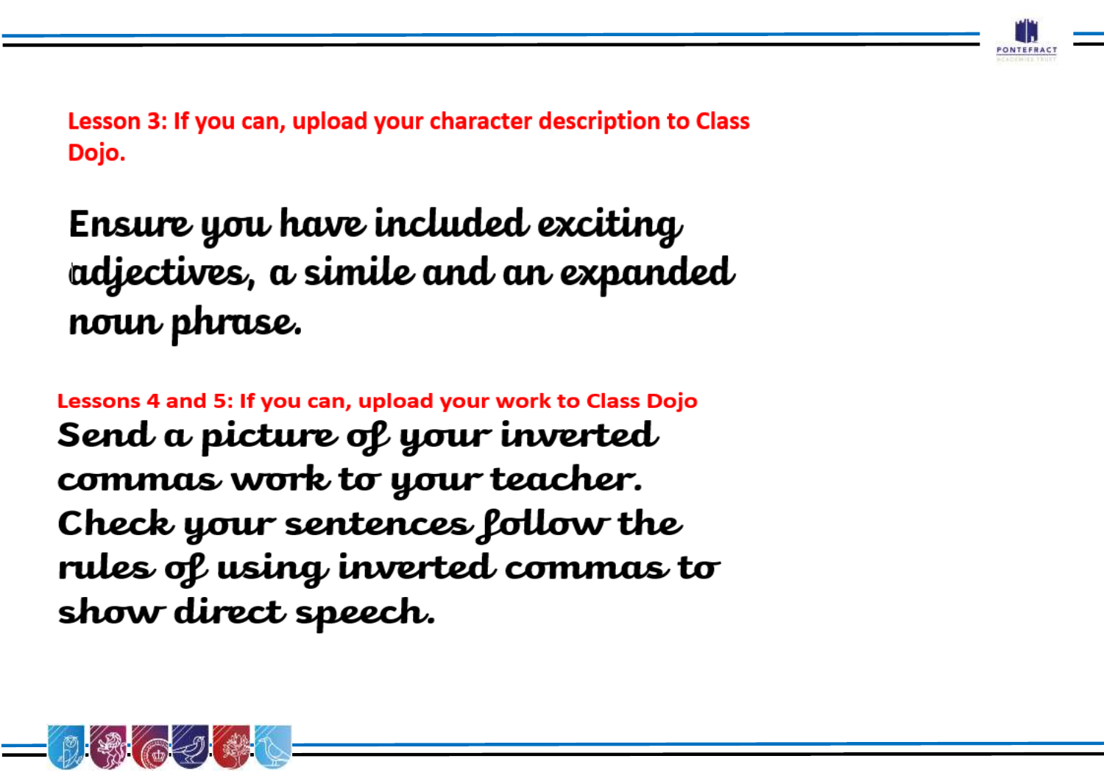

Lesson 3: If you can, upload your character description to Class Dojo.

# Ensure you have included exciting adjectives, a simile and an expanded noun phrase.

Lessons 4 and 5: If you can, upload your work to Class Dojo Send a picture of your inverted commas work to your teacher. Check your sentences follow the rules of using inverted commas to show direct speech.

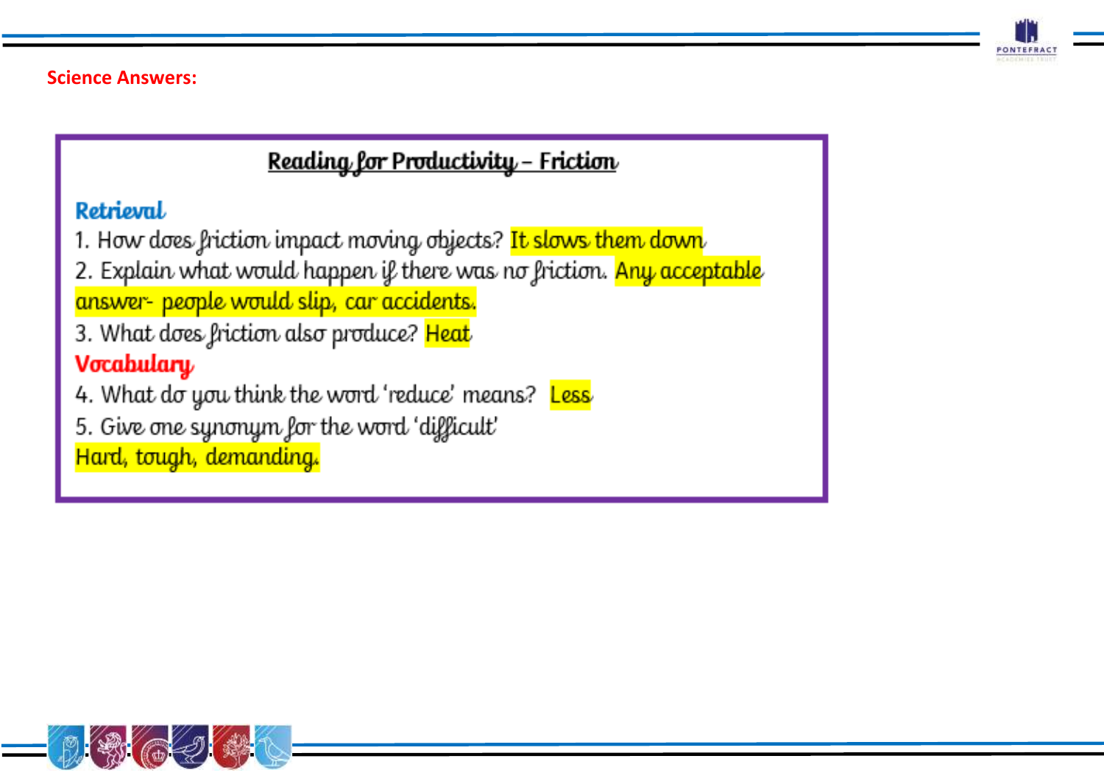

**Science Answers:** 

# <u> Reading for Productivity - Friction</u>

# Rotriosml.

- 1. How does friction impact moving objects? It slows them down
- 2. Explain what would happen if there was no friction. Any acceptable answer- people would slip, car accidents.
- 3. What does friction also produce? Heat

# Vocabulary

- 4. What do you think the word 'reduce' means? Less
- 5. Give one synonym for the word 'difficult'

Hard, tough, demanding.

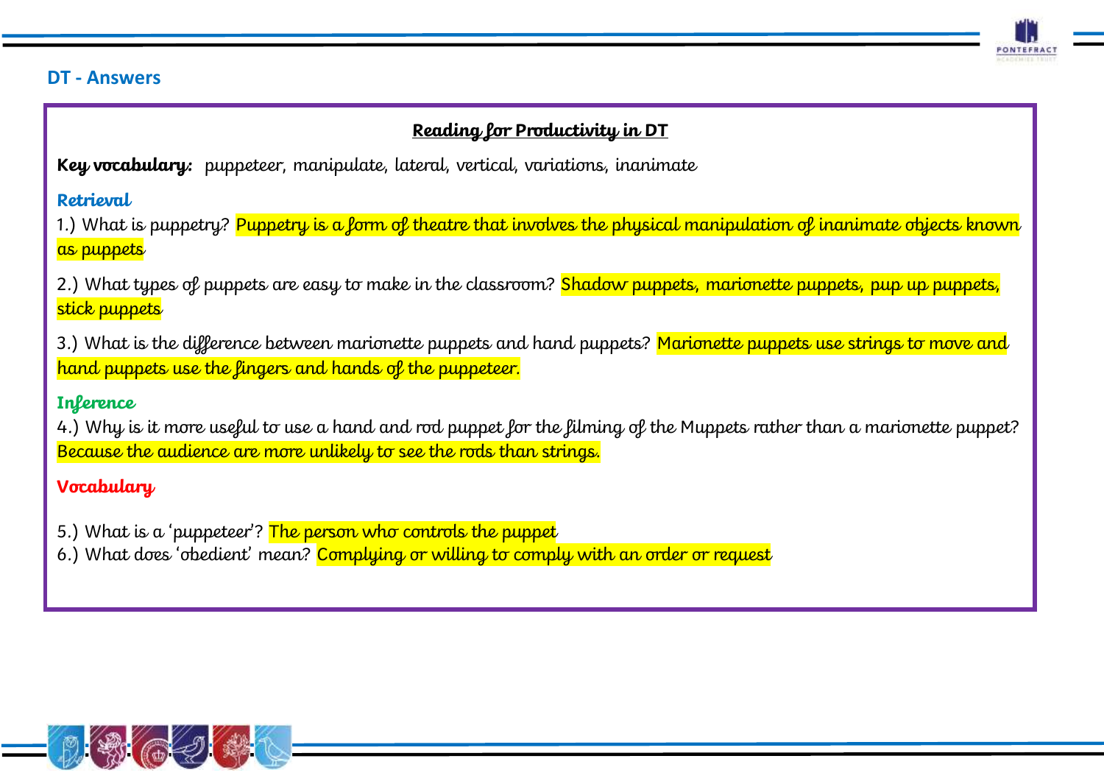

### **DT - Answers**

### **Reading for Productivity in DT**

**Key vocabulary:** puppeteer, manipulate, lateral, vertical, variations, inanimate

**Retrieval**

1.) What is puppetry? Puppetry is a form of theatre that involves the physical manipulation of inanimate objects known as puppets

2.) What types of puppets are easy to make in the classroom? Shadow puppets, marionette puppets, pup up puppets, stick puppets

3.) What is the difference between marionette puppets and hand puppets? Marionette puppets use strings to move and hand puppets use the fingers and hands of the puppeteer.

### **Inference**

4.) Why is it more useful to use a hand and rod puppet for the filming of the Muppets rather than a marionette puppet? Because the audience are more unlikely to see the rods than strings.

# **Vocabulary**

- 5.) What is a 'puppeteer'? The person who controls the puppet
- 6.) What does 'obedient' mean? Complying or willing to comply with an order or request

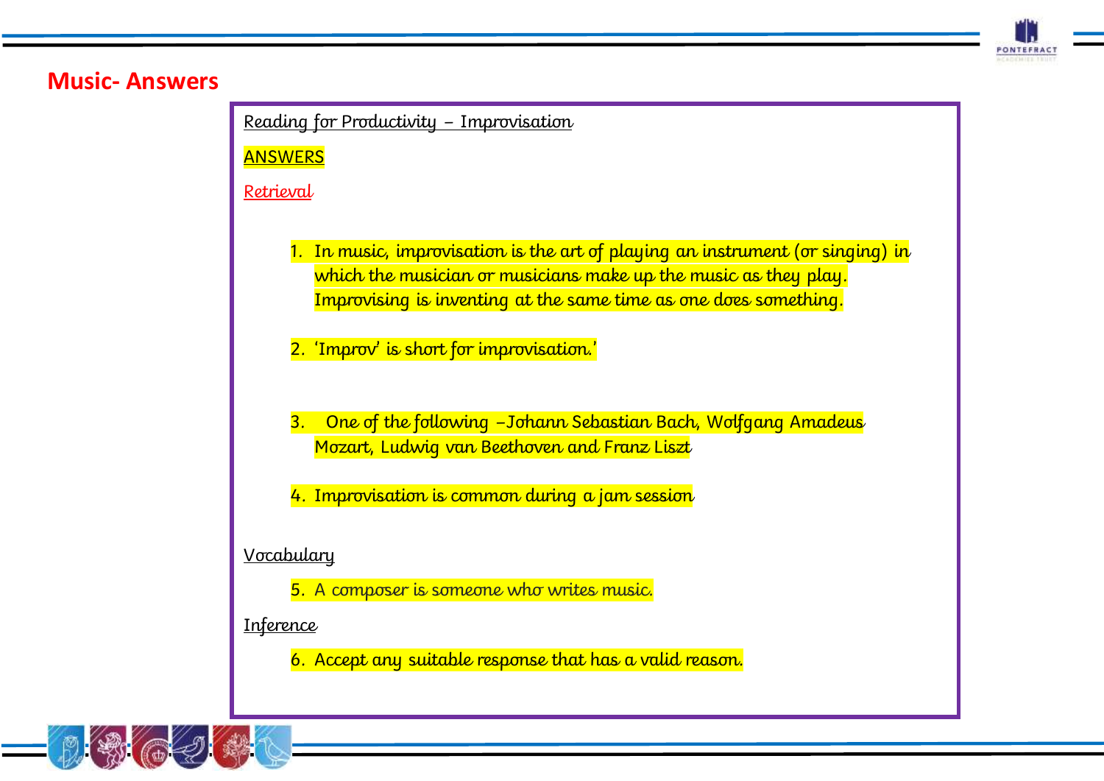

# **Music- Answers**

Reading for Productivity – Improvisation

**ANSWERS** 

Retrieval

- 1. In [music,](https://kids.kiddle.co/Music) improvisation is the art of playing an [instrument](https://kids.kiddle.co/Musical_instrument) (or [singing\)](https://kids.kiddle.co/Sing) in which the [musician](https://kids.kiddle.co/Musician) or musicians make up the music as they play. Improvising is [inventing](https://kids.kiddle.co/Invention) at the same time as one does something.
- 2. 'Improv' is short for improvisation.'
- 3. One of the following –Johann [Sebastian](https://kids.kiddle.co/Johann_Sebastian_Bach) Bach, [Wolfgang](https://kids.kiddle.co/Wolfgang_Amadeus_Mozart) Amadeus [Mozart,](https://kids.kiddle.co/Wolfgang_Amadeus_Mozart) Ludwig van [Beethoven](https://kids.kiddle.co/Ludwig_van_Beethoven) and [Franz](https://kids.kiddle.co/Franz_Liszt) Liszt
- 4. Improvisation is common during a jam session

**Vocabulary** 

5. A composer is someone who writes music.

**Inference** 

6. Accept any suitable response that has a valid reason.

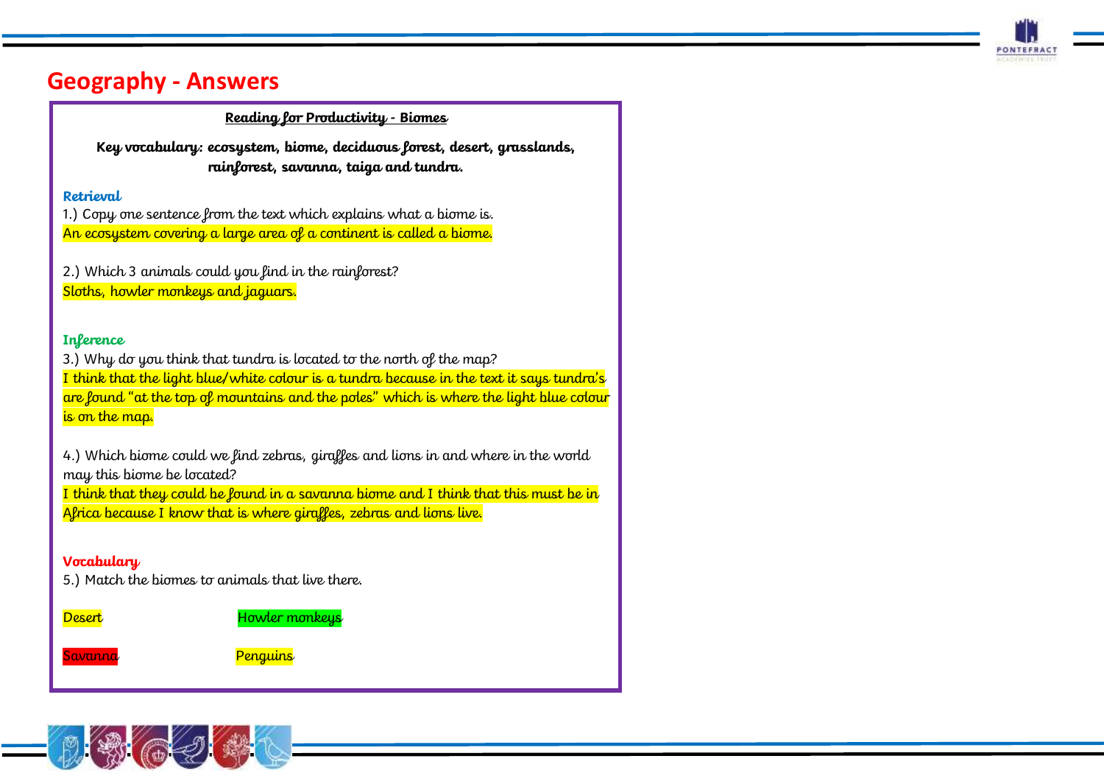

# **Geography - Answers**

#### **Reading for Productivity - Biomes**

**Key vocabulary: ecosystem, biome, deciduous forest, desert, grasslands, rainforest, savanna, taiga and tundra.**

#### **Retrieval**

1.) Copy one sentence from the text which explains what a biome is. An ecosystem covering a large area of a continent is called a biome.

2.) Which 3 animals could you find in the rainforest? Sloths, howler monkeys and jaguars.

#### **Inference**

3.) Why do you think that tundra is located to the north of the map? I think that the light blue/white colour is a tundra because in the text it says tundra's are found "at the top of mountains and the poles" which is where the light blue colour is on the map.

4.) Which biome could we find zebras, giraffes and lions in and where in the world may this biome be located?

I think that they could be found in a savanna biome and I think that this must be in Africa because I know that is where giraffes, zebras and lions live.

### **Vocabulary**

5.) Match the biomes to animals that live there.

Desert Howler monkeys

Savanna e <mark>Penguins</mark>



Rainforest Lions